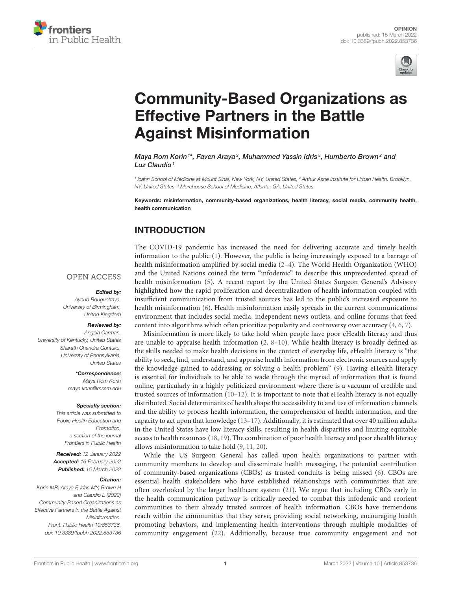



# [Community-Based Organizations as](https://www.frontiersin.org/articles/10.3389/fpubh.2022.853736/full) Effective Partners in the Battle Against Misinformation

Maya Rom Korin<sup>1\*</sup>, Faven Araya<sup>2</sup>, Muhammed Yassin Idris<sup>3</sup>, Humberto Brown<sup>2</sup> and Luz Claudio $1$ 

*1 Icahn School of Medicine at Mount Sinai, New York, NY, United States, <sup>2</sup> Arthur Ashe Institute for Urban Health, Brooklyn, NY, United States, <sup>3</sup> Morehouse School of Medicine, Atlanta, GA, United States*

Keywords: misinformation, community-based organizations, health literacy, social media, community health, health communication

# INTRODUCTION

The COVID-19 pandemic has increased the need for delivering accurate and timely health information to the public [\(1\)](#page-2-0). However, the public is being increasingly exposed to a barrage of health misinformation amplified by social media [\(2–](#page-2-1)[4\)](#page-2-2). The World Health Organization (WHO) and the United Nations coined the term "infodemic" to describe this unprecedented spread of health misinformation [\(5\)](#page-2-3). A recent report by the United States Surgeon General's Advisory highlighted how the rapid proliferation and decentralization of health information coupled with insufficient communication from trusted sources has led to the public's increased exposure to health misinformation [\(6\)](#page-2-4). Health misinformation easily spreads in the current communications environment that includes social media, independent news outlets, and online forums that feed content into algorithms which often prioritize popularity and controversy over accuracy [\(4,](#page-2-2) [6,](#page-2-4) [7\)](#page-2-5).

Misinformation is more likely to take hold when people have poor eHealth literacy and thus are unable to appraise health information [\(2,](#page-2-1) [8](#page-2-6)[–10\)](#page-2-7). While health literacy is broadly defined as the skills needed to make health decisions in the context of everyday life, eHealth literacy is "the ability to seek, find, understand, and appraise health information from electronic sources and apply the knowledge gained to addressing or solving a health problem" [\(9\)](#page-2-8). Having eHealth literacy is essential for individuals to be able to wade through the myriad of information that is found online, particularly in a highly politicized environment where there is a vacuum of credible and trusted sources of information [\(10](#page-2-7)[–12\)](#page-2-9). It is important to note that eHealth literacy is not equally distributed. Social determinants of health shape the accessibility to and use of information channels and the ability to process health information, the comprehension of health information, and the capacity to act upon that knowledge [\(13](#page-2-10)[–17\)](#page-2-11). Additionally, it is estimated that over 40 million adults in the United States have low literacy skills, resulting in health disparities and limiting equitable access to health resources [\(18,](#page-2-12) [19\)](#page-2-13). The combination of poor health literacy and poor ehealth literacy allows misinformation to take hold [\(9,](#page-2-8) [11,](#page-2-14) [20\)](#page-2-15).

While the US Surgeon General has called upon health organizations to partner with community members to develop and disseminate health messaging, the potential contribution of community-based organizations (CBOs) as trusted conduits is being missed [\(6\)](#page-2-4). CBOs are essential health stakeholders who have established relationships with communities that are often overlooked by the larger healthcare system [\(21\)](#page-2-16). We argue that including CBOs early in the health communication pathway is critically needed to combat this infodemic and reorient communities to their already trusted sources of health information. CBOs have tremendous reach within the communities that they serve, providing social networking, encouraging health promoting behaviors, and implementing health interventions through multiple modalities of community engagement [\(22\)](#page-2-17). Additionally, because true community engagement and not

### **OPEN ACCESS**

#### Edited by:

*Ayoub Bouguettaya, University of Birmingham, United Kingdom*

### Reviewed by:

*Angela Carman, University of Kentucky, United States Sharath Chandra Guntuku, University of Pennsylvania, United States*

> \*Correspondence: *Maya Rom Korin [maya.korin@mssm.edu](mailto:maya.korin@mssm.edu)*

#### Specialty section:

*This article was submitted to Public Health Education and Promotion, a section of the journal Frontiers in Public Health*

Received: *12 January 2022* Accepted: *16 February 2022* Published: *15 March 2022*

#### Citation:

*Korin MR, Araya F, Idris MY, Brown H and Claudio L (2022) Community-Based Organizations as Effective Partners in the Battle Against Misinformation. Front. Public Health 10:853736. doi: [10.3389/fpubh.2022.853736](https://doi.org/10.3389/fpubh.2022.853736)*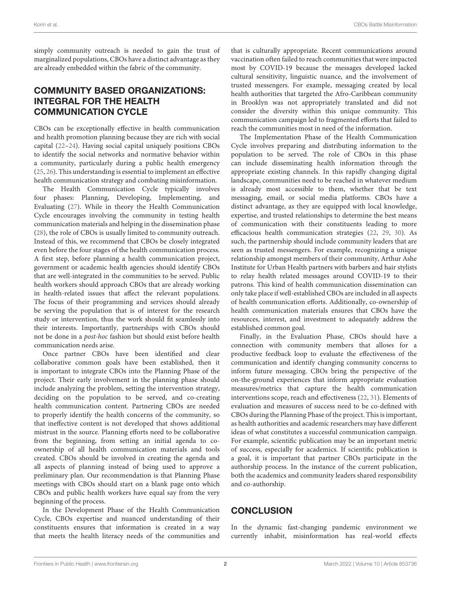simply community outreach is needed to gain the trust of marginalized populations, CBOs have a distinct advantage as they are already embedded within the fabric of the community.

## COMMUNITY BASED ORGANIZATIONS: INTEGRAL FOR THE HEALTH COMMUNICATION CYCLE

CBOs can be exceptionally effective in health communication and health promotion planning because they are rich with social capital [\(22–](#page-2-17)[24\)](#page-2-18). Having social capital uniquely positions CBOs to identify the social networks and normative behavior within a community, particularly during a public health emergency [\(25,](#page-2-19) [26\)](#page-3-0). This understanding is essential to implement an effective health communication strategy and combating misinformation.

The Health Communication Cycle typically involves four phases: Planning, Developing, Implementing, and Evaluating [\(27\)](#page-3-1). While in theory the Health Communication Cycle encourages involving the community in testing health communication materials and helping in the dissemination phase [\(28\)](#page-3-2), the role of CBOs is usually limited to community outreach. Instead of this, we recommend that CBOs be closely integrated even before the four stages of the health communication process. A first step, before planning a health communication project, government or academic health agencies should identify CBOs that are well-integrated in the communities to be served. Public health workers should approach CBOs that are already working in health-related issues that affect the relevant populations. The focus of their programming and services should already be serving the population that is of interest for the research study or intervention, thus the work should fit seamlessly into their interests. Importantly, partnerships with CBOs should not be done in a post-hoc fashion but should exist before health communication needs arise.

Once partner CBOs have been identified and clear collaborative common goals have been established, then it is important to integrate CBOs into the Planning Phase of the project. Their early involvement in the planning phase should include analyzing the problem, setting the intervention strategy, deciding on the population to be served, and co-creating health communication content. Partnering CBOs are needed to properly identify the health concerns of the community, so that ineffective content is not developed that shows additional mistrust in the source. Planning efforts need to be collaborative from the beginning, from setting an initial agenda to coownership of all health communication materials and tools created. CBOs should be involved in creating the agenda and all aspects of planning instead of being used to approve a preliminary plan. Our recommendation is that Planning Phase meetings with CBOs should start on a blank page onto which CBOs and public health workers have equal say from the very beginning of the process.

In the Development Phase of the Health Communication Cycle, CBOs expertise and nuanced understanding of their constituents ensures that information is created in a way that meets the health literacy needs of the communities and

that is culturally appropriate. Recent communications around vaccination often failed to reach communities that were impacted most by COVID-19 because the messages developed lacked cultural sensitivity, linguistic nuance, and the involvement of trusted messengers. For example, messaging created by local health authorities that targeted the Afro-Caribbean community in Brooklyn was not appropriately translated and did not consider the diversity within this unique community. This communication campaign led to fragmented efforts that failed to reach the communities most in need of the information.

The Implementation Phase of the Health Communication Cycle involves preparing and distributing information to the population to be served. The role of CBOs in this phase can include disseminating health information through the appropriate existing channels. In this rapidly changing digital landscape, communities need to be reached in whatever medium is already most accessible to them, whether that be text messaging, email, or social media platforms. CBOs have a distinct advantage, as they are equipped with local knowledge, expertise, and trusted relationships to determine the best means of communication with their constituents leading to more efficacious health communication strategies [\(22,](#page-2-17) [29,](#page-3-3) [30\)](#page-3-4). As such, the partnership should include community leaders that are seen as trusted messengers. For example, recognizing a unique relationship amongst members of their community, Arthur Ashe Institute for Urban Health partners with barbers and hair stylists to relay health related messages around COVID-19 to their patrons. This kind of health communication dissemination can only take place if well-established CBOs are included in all aspects of health communication efforts. Additionally, co-ownership of health communication materials ensures that CBOs have the resources, interest, and investment to adequately address the established common goal.

Finally, in the Evaluation Phase, CBOs should have a connection with community members that allows for a productive feedback loop to evaluate the effectiveness of the communication and identify changing community concerns to inform future messaging. CBOs bring the perspective of the on-the-ground experiences that inform appropriate evaluation measures/metrics that capture the health communication interventions scope, reach and effectiveness [\(22,](#page-2-17) [31\)](#page-3-5). Elements of evaluation and measures of success need to be co-defined with CBOs during the Planning Phase of the project. This is important, as health authorities and academic researchers may have different ideas of what constitutes a successful communication campaign. For example, scientific publication may be an important metric of success, especially for academics. If scientific publication is a goal, it is important that partner CBOs participate in the authorship process. In the instance of the current publication, both the academics and community leaders shared responsibility and co-authorship.

### **CONCLUSION**

In the dynamic fast-changing pandemic environment we currently inhabit, misinformation has real-world effects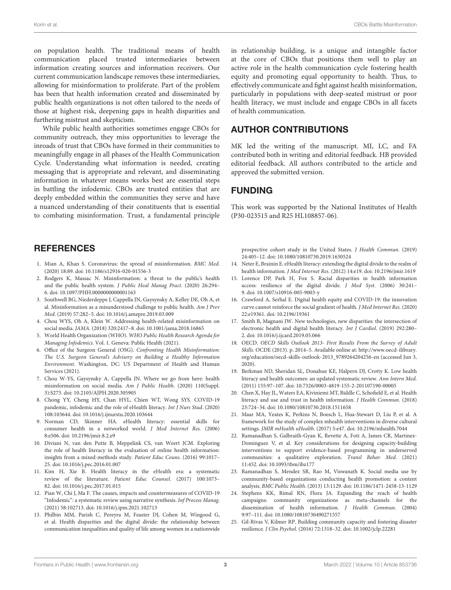on population health. The traditional means of health communication placed trusted intermediaries between information creating sources and information receivers. Our current communication landscape removes these intermediaries, allowing for misinformation to proliferate. Part of the problem has been that health information created and disseminated by public health organizations is not often tailored to the needs of those at highest risk, deepening gaps in health disparities and furthering mistrust and skepticism.

While public health authorities sometimes engage CBOs for community outreach, they miss opportunities to leverage the inroads of trust that CBOs have formed in their communities to meaningfully engage in all phases of the Health Communication Cycle. Understanding what information is needed, creating messaging that is appropriate and relevant, and disseminating information in whatever means works best are essential steps in battling the infodemic. CBOs are trusted entities that are deeply embedded within the communities they serve and have a nuanced understanding of their constituents that is essential to combating misinformation. Trust, a fundamental principle

### **REFERENCES**

- <span id="page-2-0"></span>1. Mian A, Khan S. Coronavirus: the spread of misinformation. BMC Med. (2020) 18:89. doi: [10.1186/s12916-020-01556-3](https://doi.org/10.1186/s12916-020-01556-3)
- <span id="page-2-1"></span>2. Rodgers K, Massac N. Misinformation: a threat to the public's health and the public health system. J Public Heal Manag Pract. (2020) 26:294– 6. doi: [10.1097/PHH.0000000000001163](https://doi.org/10.1097/PHH.0000000000001163)
- 3. Southwell BG, Niederdeppe J, Cappella JN, Gaysynsky A, Kelley DE, Oh A, et al. Misinformation as a misunderstood challenge to public health. Am J Prev Med. (2019) 57:282–5. doi: [10.1016/j.amepre.2019.03.009](https://doi.org/10.1016/j.amepre.2019.03.009)
- <span id="page-2-2"></span>4. Chou WYS, Oh A, Klein W. Addressing health-related misinformation on social media. JAMA. (2018) 320:2417–8. doi: [10.1001/jama.2018.16865](https://doi.org/10.1001/jama.2018.16865)
- <span id="page-2-3"></span>5. World Health Organization (WHO). WHO Public Health Research Agenda for Managing Infodemics. Vol. 1. Geneva: Public Health (2021).
- <span id="page-2-4"></span>6. Office of the Surgeon General (OSG). Confronting Health Misinformation: The U.S. Surgeon General's Advisory on Building a Healthy Information Environment. Washington, DC: US Department of Health and Human Services (2021).
- <span id="page-2-5"></span>7. Chou W-YS, Gaysynsky A, Cappella JN. Where we go from here: health misinformation on social media. Am J Public Health. (2020) 110(Suppl. 3):S273. doi: [10.2105/AJPH.2020.305905](https://doi.org/10.2105/AJPH.2020.305905)
- <span id="page-2-6"></span>8. Chong YY, Cheng HY, Chan HYL, Chien WT, Wong SYS. COVID-19 pandemic, infodemic and the role of eHealth literacy. Int J Nurs Stud. (2020) 108:103644. doi: [10.1016/j.ijnurstu.2020.103644](https://doi.org/10.1016/j.ijnurstu.2020.103644)
- <span id="page-2-8"></span>9. Norman CD, Skinner HA. eHealth literacy: essential skills for consumer health in a networked world. J Med Internet Res. (2006) 8:e506. doi: [10.2196/jmir.8.2.e9](https://doi.org/10.2196/jmir.8.2.e9)
- <span id="page-2-7"></span>10. Diviani N, van den Putte B, Meppelink CS, van Weert JCM. Exploring the role of health literacy in the evaluation of online health information: insights from a mixed-methods study. Patient Educ Couns. (2016) 99:1017– 25. doi: [10.1016/j.pec.2016.01.007](https://doi.org/10.1016/j.pec.2016.01.007)
- <span id="page-2-14"></span>11. Kim H, Xie B. Health literacy in the eHealth era: a systematic review of the literature. Patient Educ Counsel. (2017) 100:1073– 82. doi: [10.1016/j.pec.2017.01.015](https://doi.org/10.1016/j.pec.2017.01.015)
- <span id="page-2-9"></span>12. Pian W, Chi J, Ma F. The causes, impacts and countermeasures of COVID-19 "Infodemic": a systematic review using narrative synthesis. Inf Process Manag. (2021) 58:102713. doi: [10.1016/j.ipm.2021.102713](https://doi.org/10.1016/j.ipm.2021.102713)
- <span id="page-2-10"></span>13. Philbin MM, Parish C, Pereyra M, Feaster DJ, Cohen M, Wingood G, et al. Health disparities and the digital divide: the relationship between communication inequalities and quality of life among women in a nationwide

in relationship building, is a unique and intangible factor at the core of CBOs that positions them well to play an active role in the health communication cycle fostering health equity and promoting equal opportunity to health. Thus, to effectively communicate and fight against health misinformation, particularly in populations with deep-seated mistrust or poor health literacy, we must include and engage CBOs in all facets of health communication.

## AUTHOR CONTRIBUTIONS

MK led the writing of the manuscript. MI, LC, and FA contributed both in writing and editorial feedback. HB provided editorial feedback. All authors contributed to the article and approved the submitted version.

### FUNDING

This work was supported by the National Institutes of Health (P30-023515 and R25 HL108857-06).

prospective cohort study in the United States. J Health Commun. (2019) 24:405–12. doi: [10.1080/10810730.2019.1630524](https://doi.org/10.1080/10810730.2019.1630524)

- 14. Neter E, Brainin E. eHealth literacy: extending the digital divide to the realm of health information. J Med Internet Res. (2012) 14:e19. doi: [10.2196/jmir.1619](https://doi.org/10.2196/jmir.1619)
- 15. Lorence DP, Park H, Fox S. Racial disparities in health information access: resilience of the digital divide. J Med Syst. (2006) 30:241– 9. doi: [10.1007/s10916-005-9003-y](https://doi.org/10.1007/s10916-005-9003-y)
- 16. Crawford A, Serhal E. Digital health equity and COVID-19: the innovation curve cannot reinforce the social gradient of health. J Med Internet Res. (2020) 22:e19361. doi: [10.2196/19361](https://doi.org/10.2196/19361)
- <span id="page-2-11"></span>17. Smith B, Magnani JW. New technologies, new disparities: the intersection of electronic health and digital health literacy. Int J Cardiol. (2019) 292:280– 2. doi: [10.1016/j.ijcard.2019.05.066](https://doi.org/10.1016/j.ijcard.2019.05.066)
- <span id="page-2-12"></span>18. OECD. OECD Skills Outlook 2013- First Results From the Survey of Adult Skills. OCDE (2013). p. 2014–5. Available online at: [http://www.oecd-ilibrary.](http://www.oecd-ilibrary.org/education/oecd-skills-outlook-2013_9789264204256-en) [org/education/oecd-skills-outlook-2013\\_9789264204256-en](http://www.oecd-ilibrary.org/education/oecd-skills-outlook-2013_9789264204256-en) (accessed Jun 3, 2020).
- <span id="page-2-13"></span>19. Berkman ND, Sheridan SL, Donahue KE, Halpern DJ, Crotty K. Low health literacy and health outcomes: an updated systematic review. Ann Intern Med. (2011) 155:97–107. doi: [10.7326/0003-4819-155-2-201107190-00005](https://doi.org/10.7326/0003-4819-155-2-201107190-00005)
- <span id="page-2-15"></span>20. Chen X, Hay JL, Waters EA, Kiviniemi MT, Biddle C, Schofield E, et al. Health literacy and use and trust in health information. J Health Commun. (2018) 23:724–34. doi: [10.1080/10810730.2018.1511658](https://doi.org/10.1080/10810730.2018.1511658)
- <span id="page-2-16"></span>21. Maar MA, Yeates K, Perkins N, Boesch L, Hua-Stewart D, Liu P, et al. A framework for the study of complex mhealth interventions in diverse cultural settings. JMIR mHealth uHealth. (2017) 5:e47. doi: [10.2196/mhealth.7044](https://doi.org/10.2196/mhealth.7044)
- <span id="page-2-17"></span>22. Ramanadhan S, Galbraith-Gyan K, Revette A, Foti A, James CR, Martinez-Dominguez V, et al. Key considerations for designing capacity-building interventions to support evidence-based programming in underserved communities: a qualitative exploration. Transl Behav Med. (2021) 11:452. doi: [10.1093/tbm/ibz177](https://doi.org/10.1093/tbm/ibz177)
- 23. Ramanadhan S, Mendez SR, Rao M, Viswanath K. Social media use by community-based organizations conducting health promotion: a content analysis. BMC Public Health. (2013) 13:1129. doi: [10.1186/1471-2458-13-1129](https://doi.org/10.1186/1471-2458-13-1129)
- <span id="page-2-18"></span>24. Stephens KK, Rimal RN, Flora JA. Expanding the reach of health campaigns: community organizations as meta-channels for the dissemination of health information. J Health Commun. (2004) 9:97–111. doi: [10.1080/10810730490271557](https://doi.org/10.1080/10810730490271557)
- <span id="page-2-19"></span>25. Gil-Rivas V, Kilmer RP. Building community capacity and fostering disaster resilience. J Clin Psychol. (2016) 72:1318–32. doi: [10.1002/jclp.22281](https://doi.org/10.1002/jclp.22281)